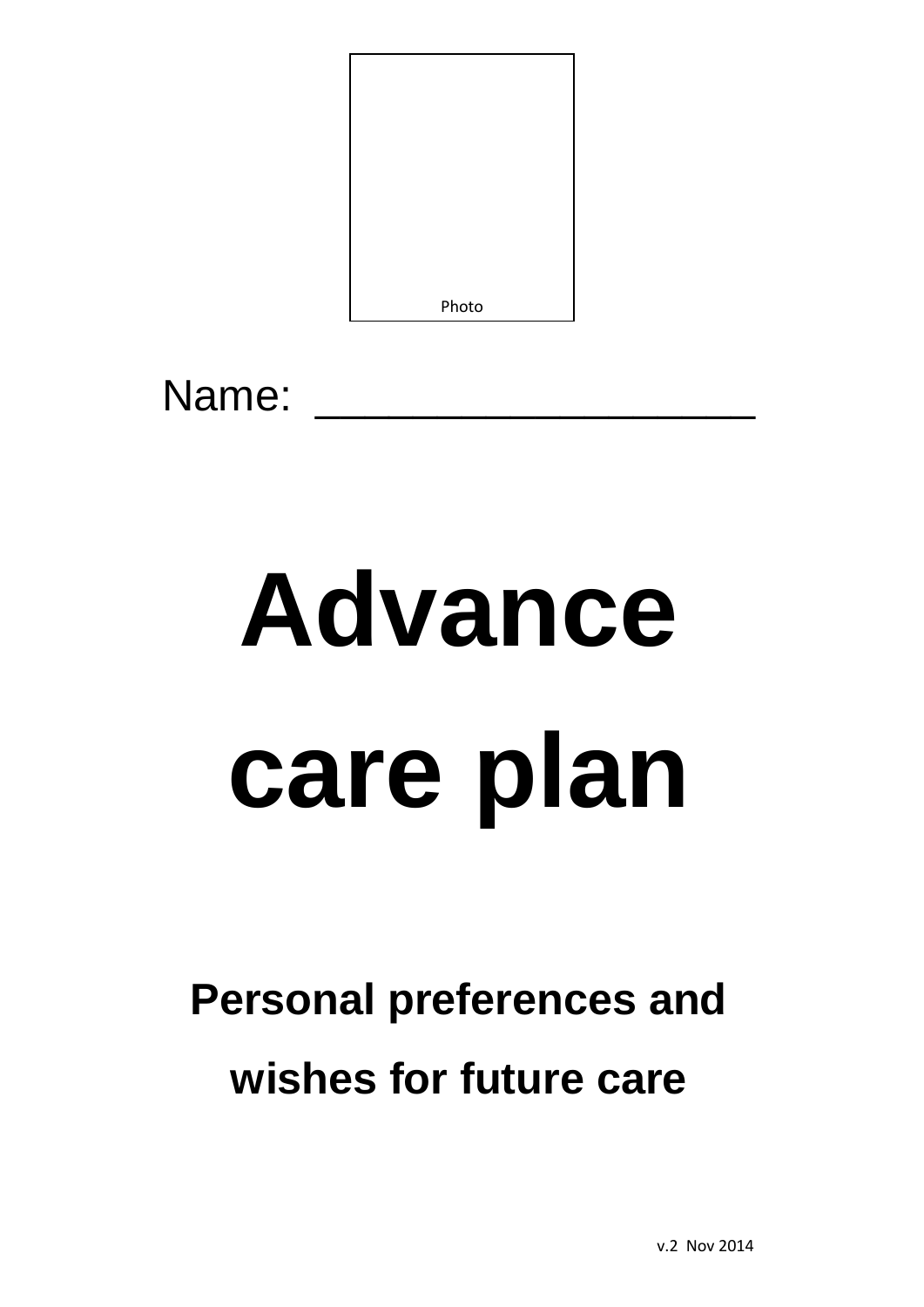

Name:

# **Advance care plan**

# **Personal preferences and wishes for future care**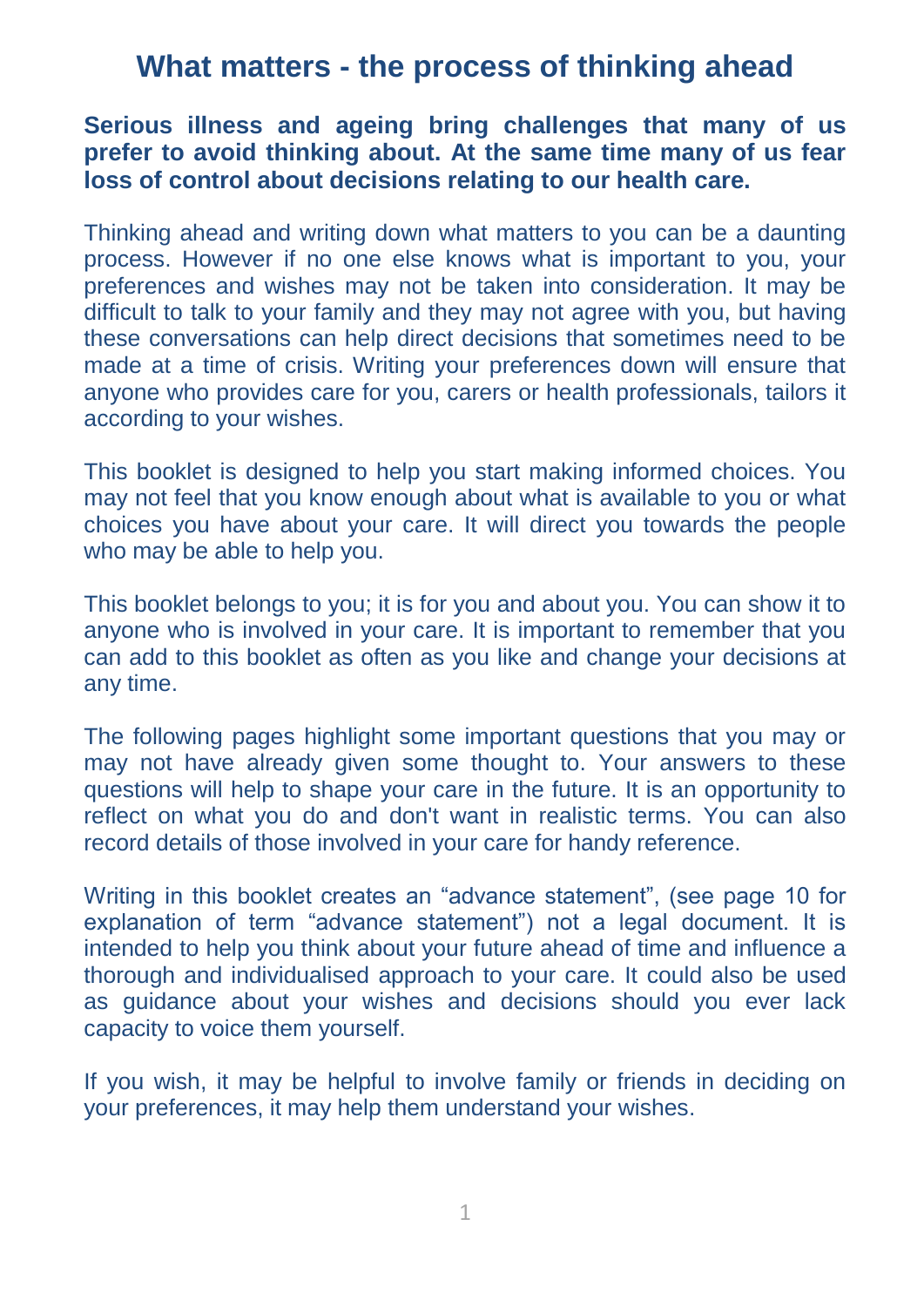### **What matters - the process of thinking ahead**

#### **Serious illness and ageing bring challenges that many of us prefer to avoid thinking about. At the same time many of us fear loss of control about decisions relating to our health care.**

Thinking ahead and writing down what matters to you can be a daunting process. However if no one else knows what is important to you, your preferences and wishes may not be taken into consideration. It may be difficult to talk to your family and they may not agree with you, but having these conversations can help direct decisions that sometimes need to be made at a time of crisis. Writing your preferences down will ensure that anyone who provides care for you, carers or health professionals, tailors it according to your wishes.

This booklet is designed to help you start making informed choices. You may not feel that you know enough about what is available to you or what choices you have about your care. It will direct you towards the people who may be able to help you.

This booklet belongs to you; it is for you and about you. You can show it to anyone who is involved in your care. It is important to remember that you can add to this booklet as often as you like and change your decisions at any time.

The following pages highlight some important questions that you may or may not have already given some thought to. Your answers to these questions will help to shape your care in the future. It is an opportunity to reflect on what you do and don't want in realistic terms. You can also record details of those involved in your care for handy reference.

Writing in this booklet creates an "advance statement", (see page 10 for explanation of term "advance statement") not a legal document. It is intended to help you think about your future ahead of time and influence a thorough and individualised approach to your care. It could also be used as guidance about your wishes and decisions should you ever lack capacity to voice them yourself.

If you wish, it may be helpful to involve family or friends in deciding on your preferences, it may help them understand your wishes.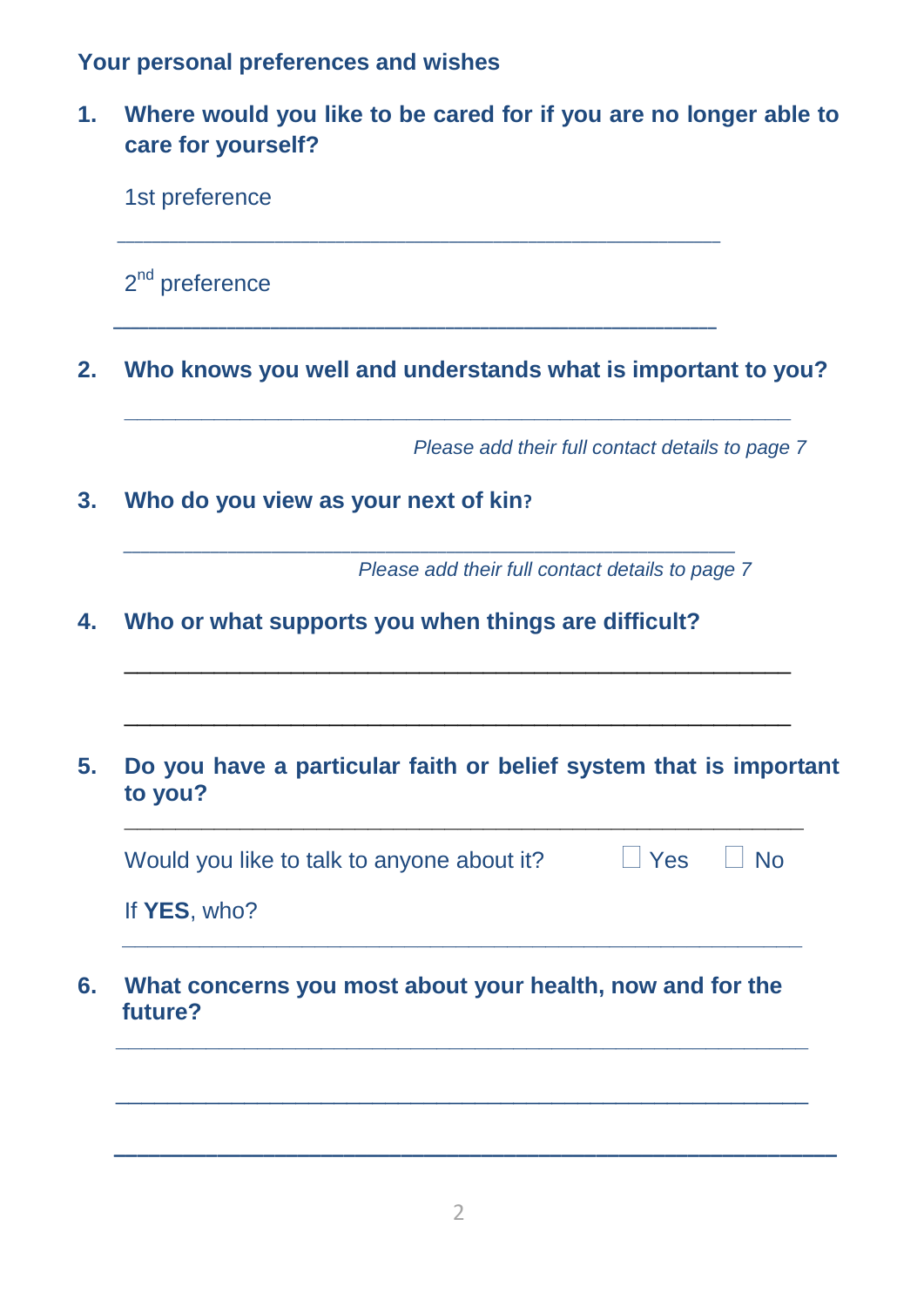**Your personal preferences and wishes**

**1. Where would you like to be cared for if you are no longer able to care for yourself?**

|                                                                              | 2 <sup>nd</sup> preference |  |                                                 |           |
|------------------------------------------------------------------------------|----------------------------|--|-------------------------------------------------|-----------|
| Who knows you well and understands what is important to you?                 |                            |  |                                                 |           |
|                                                                              |                            |  | Please add their full contact details to page 7 |           |
| Who do you view as your next of kin?                                         |                            |  |                                                 |           |
|                                                                              |                            |  | Please add their full contact details to page 7 |           |
| Who or what supports you when things are difficult?                          |                            |  |                                                 |           |
| Do you have a particular faith or belief system that is important<br>to you? |                            |  |                                                 |           |
| Would you like to talk to anyone about it?                                   |                            |  | $\blacksquare$ Yes                              | $\Box$ No |
| If YES, who?                                                                 |                            |  |                                                 |           |
|                                                                              |                            |  |                                                 |           |
| What concerns you most about your health, now and for the<br>future?         |                            |  |                                                 |           |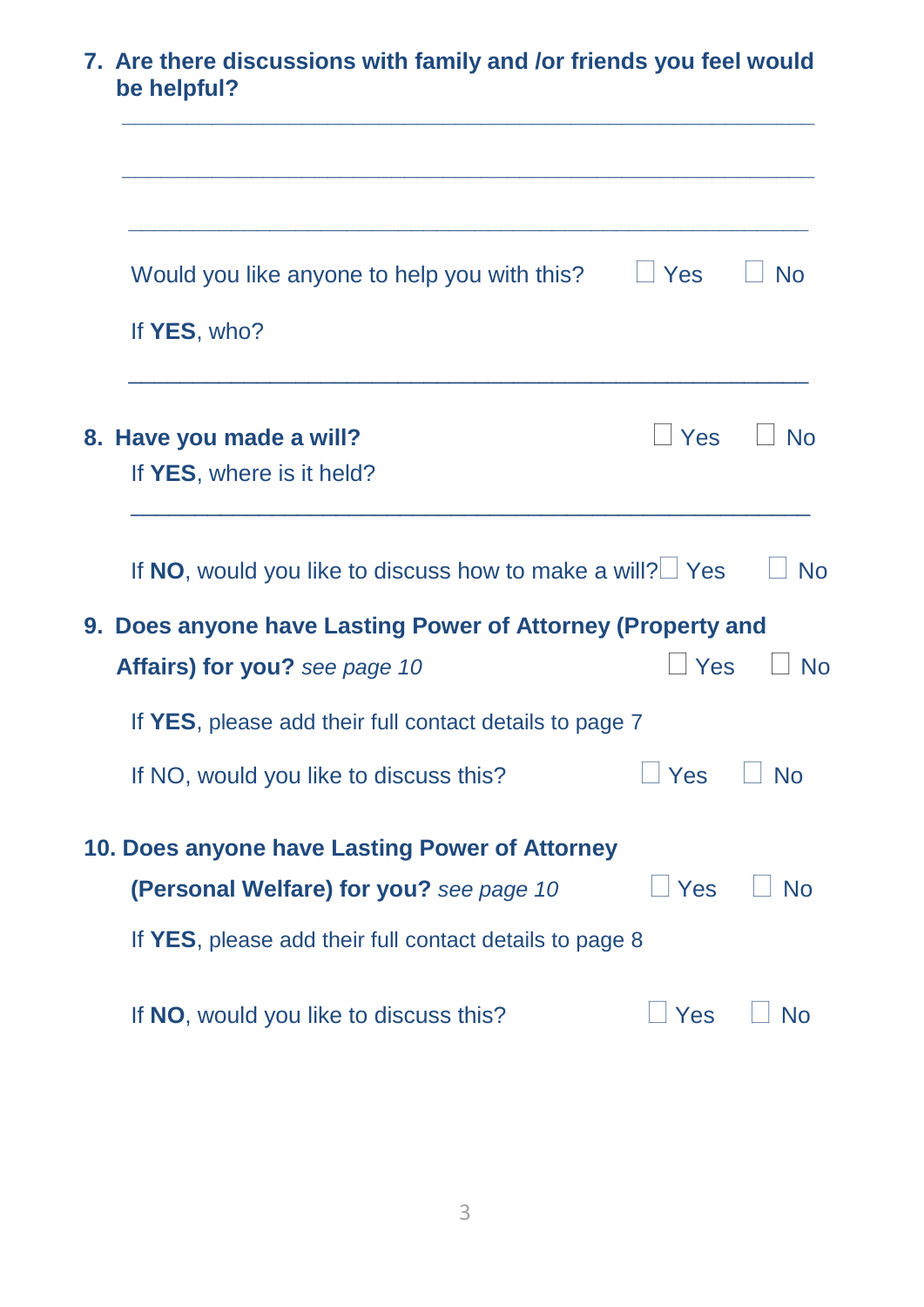| 7. Are there discussions with family and /or friends you feel would<br>be helpful? |                    |                             |
|------------------------------------------------------------------------------------|--------------------|-----------------------------|
| Would you like anyone to help you with this?                                       | $\Box$ Yes         | <b>No</b>                   |
| If YES, who?                                                                       |                    |                             |
| 8. Have you made a will?<br>If YES, where is it held?                              | $\blacksquare$ Yes | ∣ No                        |
| If NO, would you like to discuss how to make a will? $\Box$ Yes                    |                    | <b>No</b>                   |
| 9. Does anyone have Lasting Power of Attorney (Property and                        |                    |                             |
| Affairs) for you? see page 10                                                      | <b>Yes</b>         | $\overline{\phantom{a}}$ No |
| If YES, please add their full contact details to page 7                            |                    |                             |
| If NO, would you like to discuss this?                                             | <b>Yes</b>         | ∣ No                        |
| 10. Does anyone have Lasting Power of Attorney                                     |                    |                             |
| (Personal Welfare) for you? see page 10                                            | $\vert$ Yes        | No                          |
| If YES, please add their full contact details to page 8                            |                    |                             |
| If NO, would you like to discuss this?                                             | Yes                | No                          |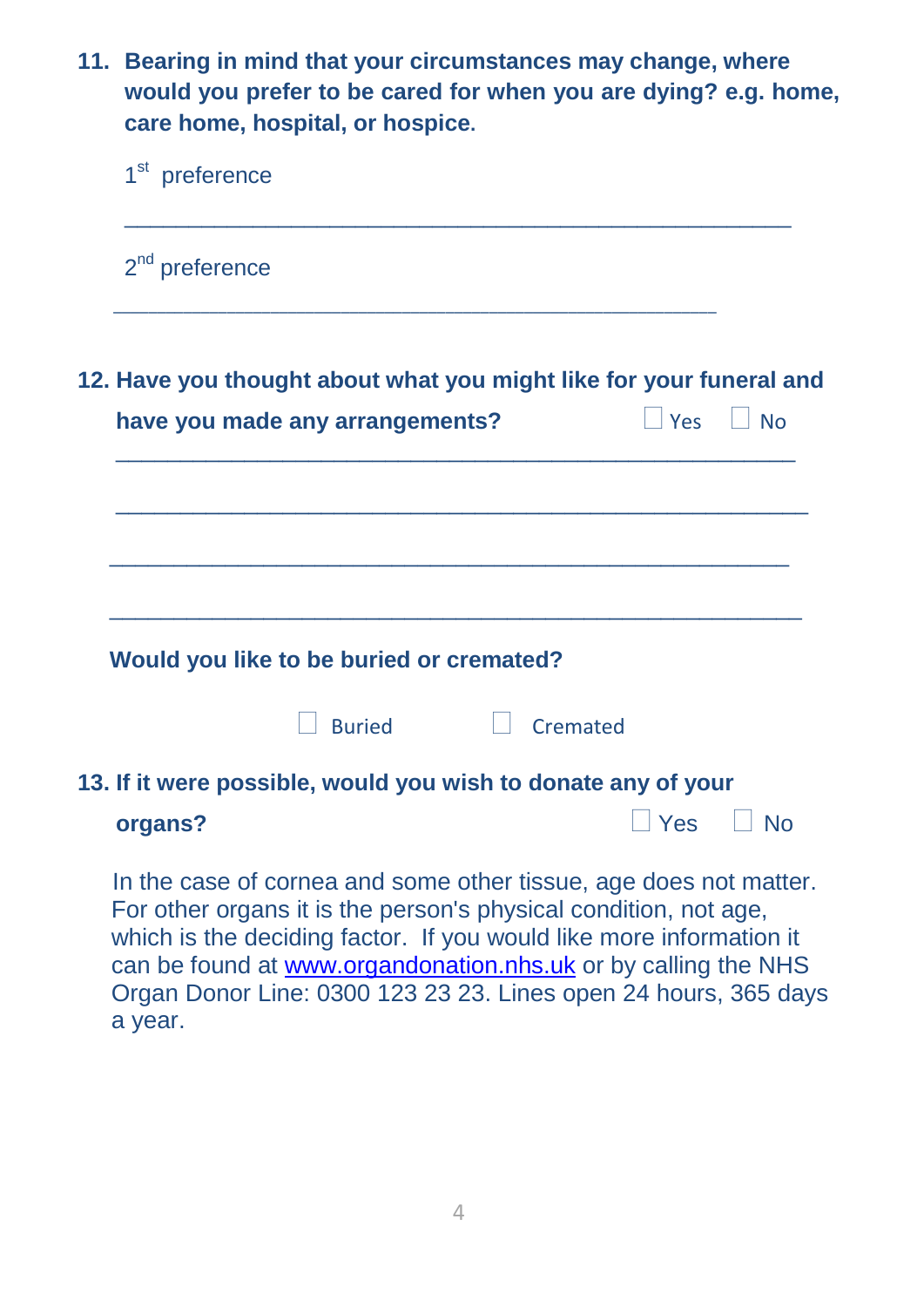**11. Bearing in mind that your circumstances may change, where would you prefer to be cared for when you are dying? e.g. home, care home, hospital, or hospice.**

| 1 <sup>st</sup> preference                                                                                                                                                                                   |                        |       |            |
|--------------------------------------------------------------------------------------------------------------------------------------------------------------------------------------------------------------|------------------------|-------|------------|
| $2nd$ preference                                                                                                                                                                                             |                        |       |            |
| 12. Have you thought about what you might like for your funeral and                                                                                                                                          |                        |       |            |
| have you made any arrangements?                                                                                                                                                                              |                        | l Yes | $\vert$ No |
|                                                                                                                                                                                                              |                        |       |            |
| Would you like to be buried or cremated?                                                                                                                                                                     |                        |       |            |
| <b>Buried</b>                                                                                                                                                                                                | $\vert \vert$ Cremated |       |            |
| 13. If it were possible, would you wish to donate any of your                                                                                                                                                |                        |       |            |
| organs?                                                                                                                                                                                                      |                        | Yes   | $\Box$ No  |
| In the case of cornea and some other tissue, age does not matter.<br>For other organs it is the person's physical condition, not age,<br>which is the deciding factor. If you would like more information it |                        |       |            |

can be found at [www.organdonation.nhs.uk](http://www.organdonation.nhs.uk/) or by calling the NHS Organ Donor Line: 0300 123 23 23. Lines open 24 hours, 365 days a year.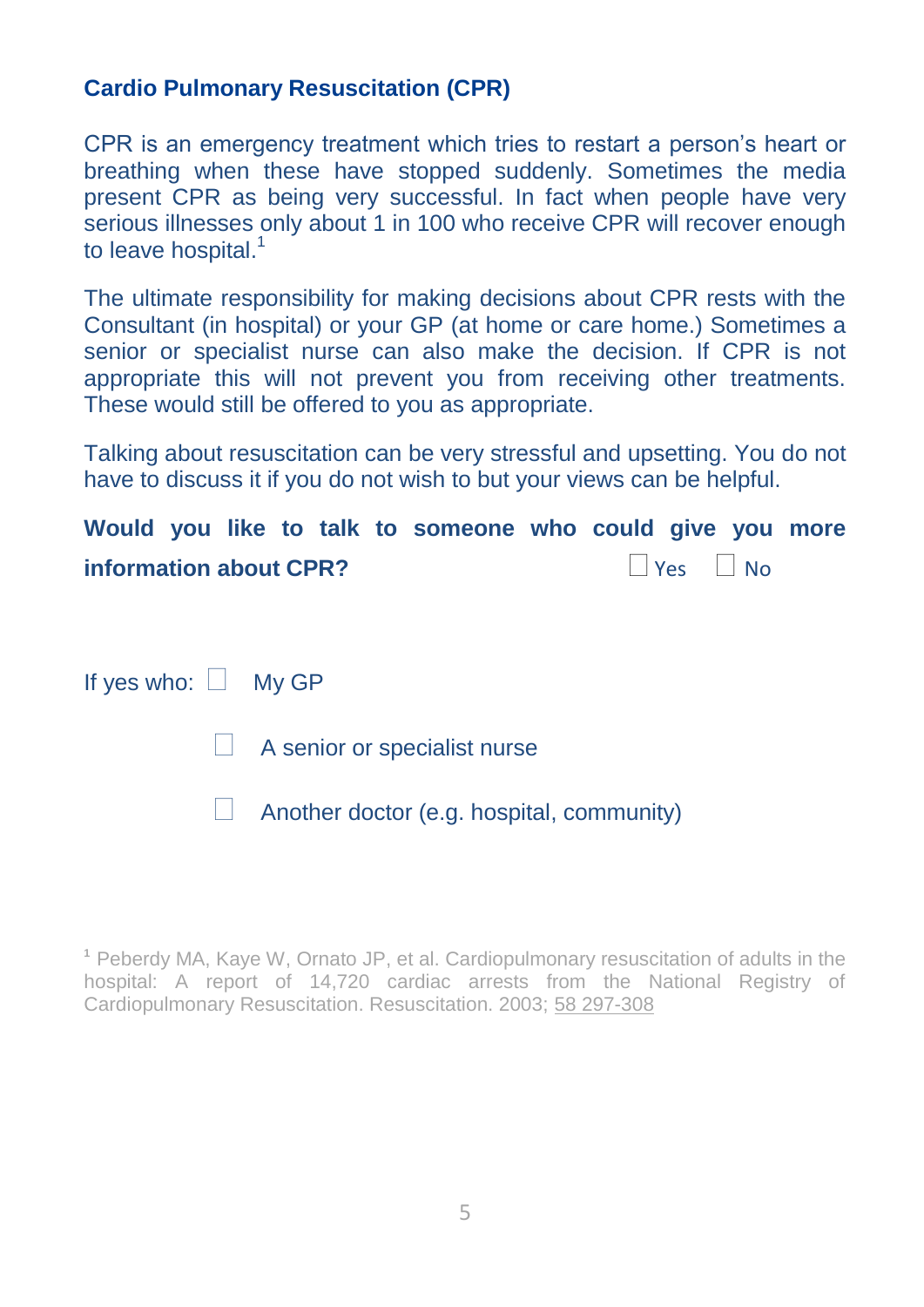#### **Cardio Pulmonary Resuscitation (CPR)**

CPR is an emergency treatment which tries to restart a person's heart or breathing when these have stopped suddenly. Sometimes the media present CPR as being very successful. In fact when people have very serious illnesses only about 1 in 100 who receive CPR will recover enough to leave hospital.<sup>1</sup>

The ultimate responsibility for making decisions about CPR rests with the Consultant (in hospital) or your GP (at home or care home.) Sometimes a senior or specialist nurse can also make the decision. If CPR is not appropriate this will not prevent you from receiving other treatments. These would still be offered to you as appropriate.

Talking about resuscitation can be very stressful and upsetting. You do not have to discuss it if you do not wish to but your views can be helpful.

**Would you like to talk to someone who could give you more information about CPR?**  $\Box$  Yes  $\Box$  No.

If yes who:  $\Box$  My GP

 $\Box$  A senior or specialist nurse

 $\Box$  Another doctor (e.g. hospital, community)

**<sup>1</sup>** Peberdy MA, Kaye W, Ornato JP, et al. Cardiopulmonary resuscitation of adults in the hospital: A report of 14,720 cardiac arrests from the National Registry of Cardiopulmonary Resuscitation. Resuscitation. 2003; [58 297-308](tel:58%20297-308)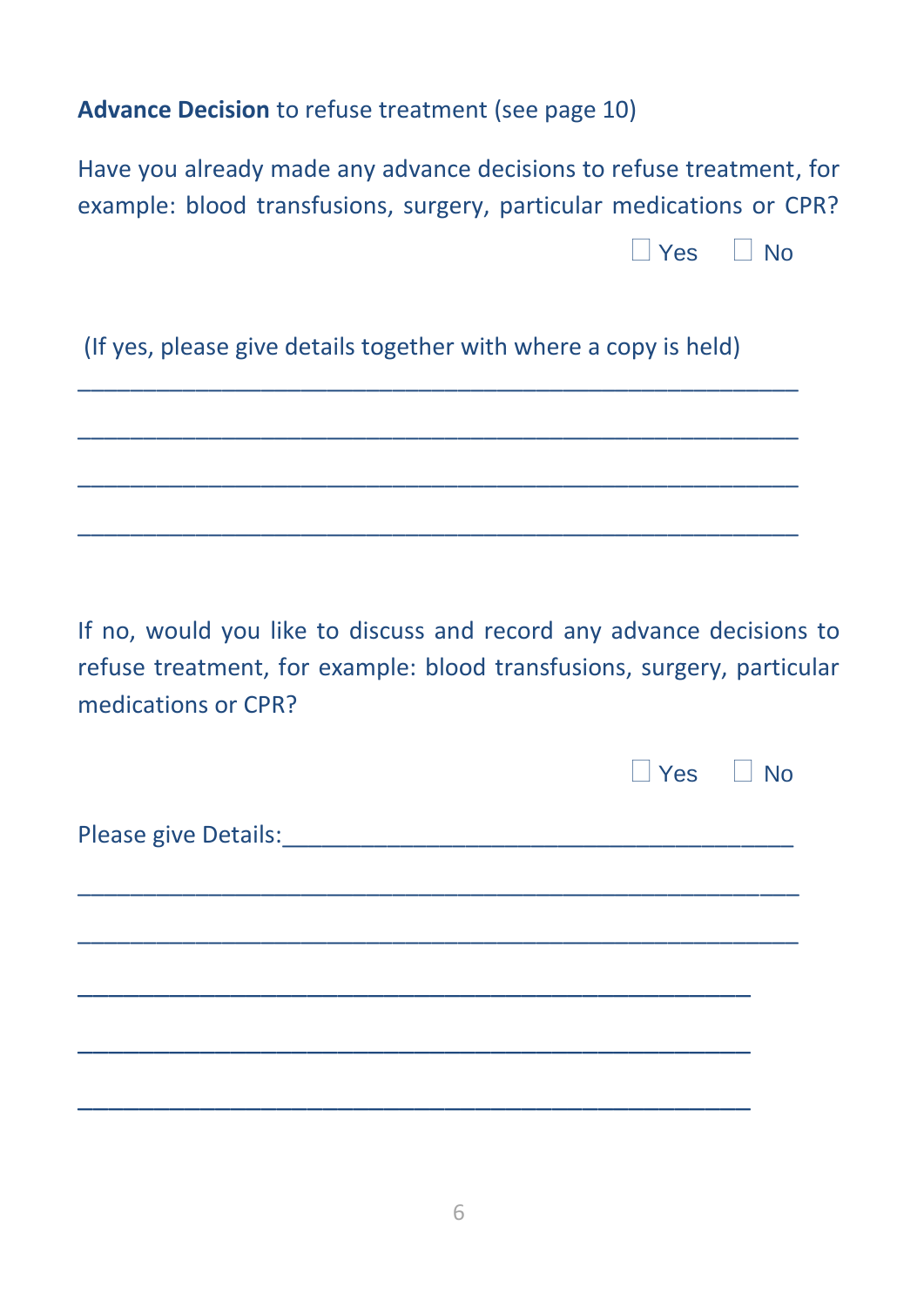#### **Advance Decision** to refuse treatment (see page 10)

| Have you already made any advance decisions to refuse treatment, for |           |  |
|----------------------------------------------------------------------|-----------|--|
| example: blood transfusions, surgery, particular medications or CPR? |           |  |
|                                                                      | ∣∣Yes ⊔No |  |
| (If yes, please give details together with where a copy is held)     |           |  |
|                                                                      |           |  |
|                                                                      |           |  |

If no, would you like to discuss and record any advance decisions to refuse treatment, for example: blood transfusions, surgery, particular medications or CPR?

|                                      | $\Box$ Yes $\Box$ No |  |
|--------------------------------------|----------------------|--|
| Please give Details:________________ |                      |  |
|                                      |                      |  |
|                                      |                      |  |
|                                      |                      |  |
|                                      |                      |  |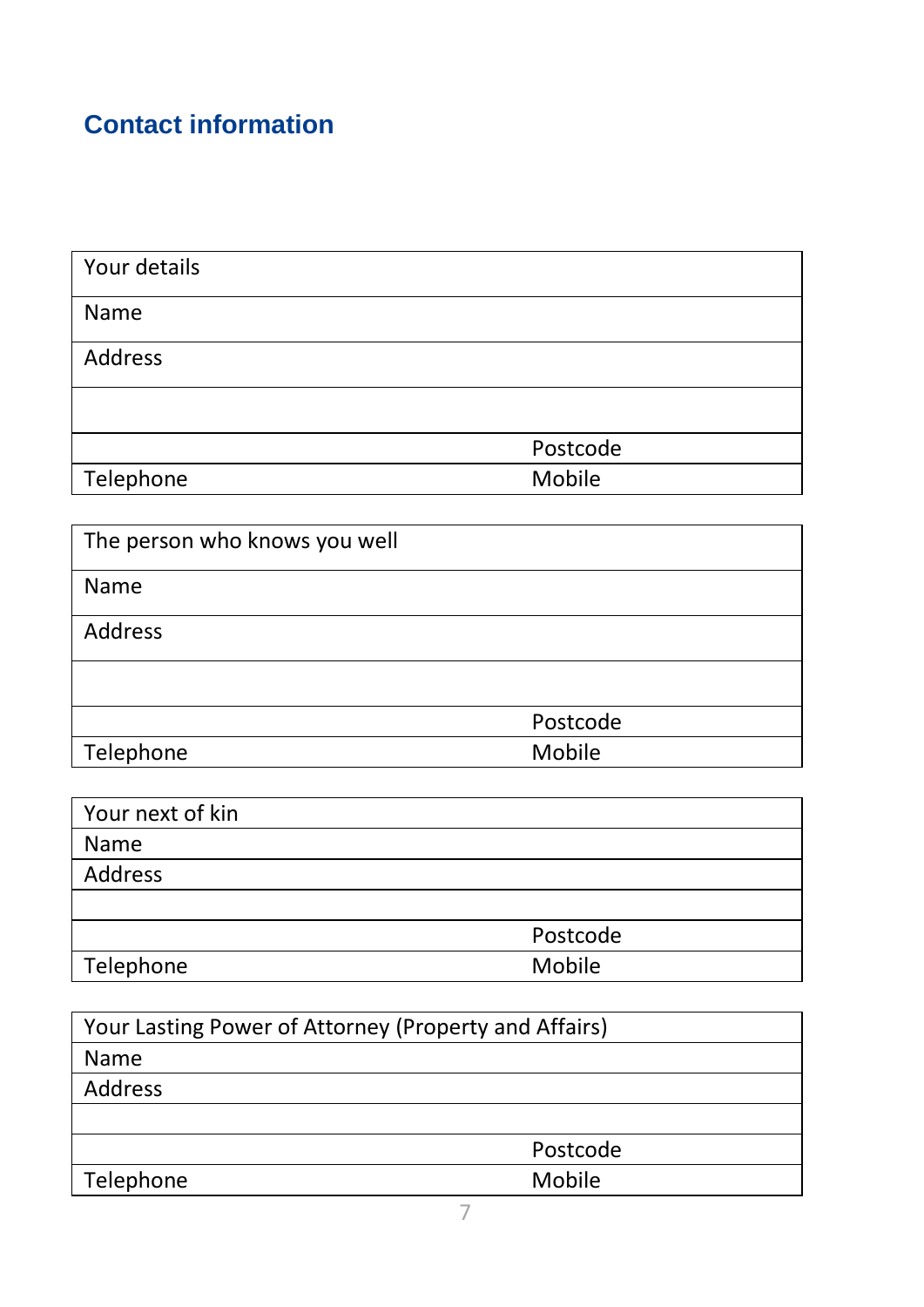## **Contact information**

| Your details |          |
|--------------|----------|
| Name         |          |
| Address      |          |
|              |          |
|              | Postcode |
| Telephone    | Mobile   |

| The person who knows you well |          |
|-------------------------------|----------|
| Name                          |          |
| Address                       |          |
|                               |          |
|                               | Postcode |
| Telephone                     | Mobile   |

| Your next of kin |          |
|------------------|----------|
| Name             |          |
| Address          |          |
|                  |          |
|                  | Postcode |
| Telephone        | Mobile   |

| Your Lasting Power of Attorney (Property and Affairs) |          |
|-------------------------------------------------------|----------|
| Name                                                  |          |
| Address                                               |          |
|                                                       |          |
|                                                       | Postcode |
| Telephone                                             | Mobile   |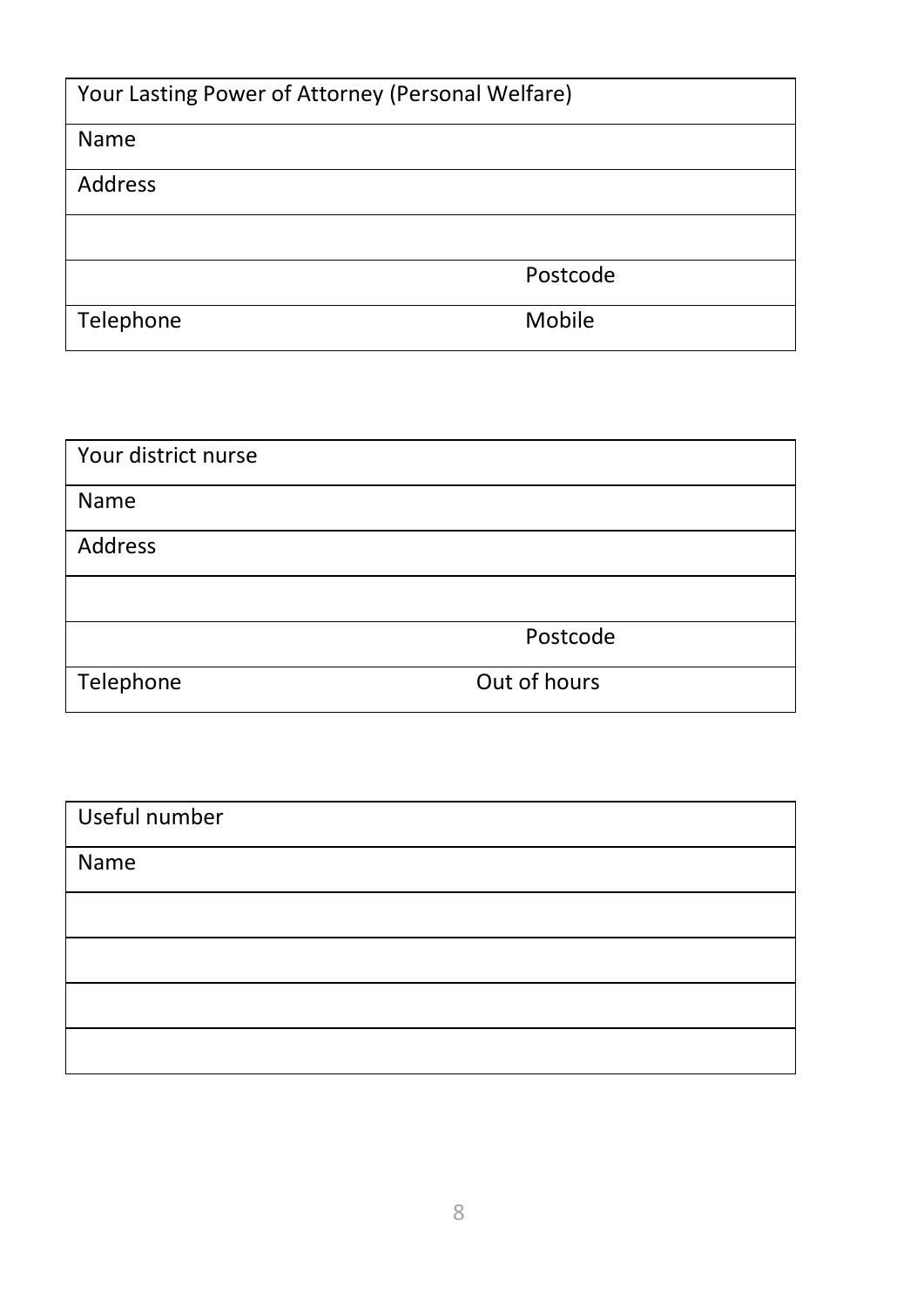| Your Lasting Power of Attorney (Personal Welfare) |          |
|---------------------------------------------------|----------|
| Name                                              |          |
| Address                                           |          |
|                                                   |          |
|                                                   | Postcode |
| Telephone                                         | Mobile   |

| Your district nurse |              |
|---------------------|--------------|
| Name                |              |
| Address             |              |
|                     |              |
|                     | Postcode     |
| Telephone           | Out of hours |

| Useful number |  |
|---------------|--|
| Name          |  |
|               |  |
|               |  |
|               |  |
|               |  |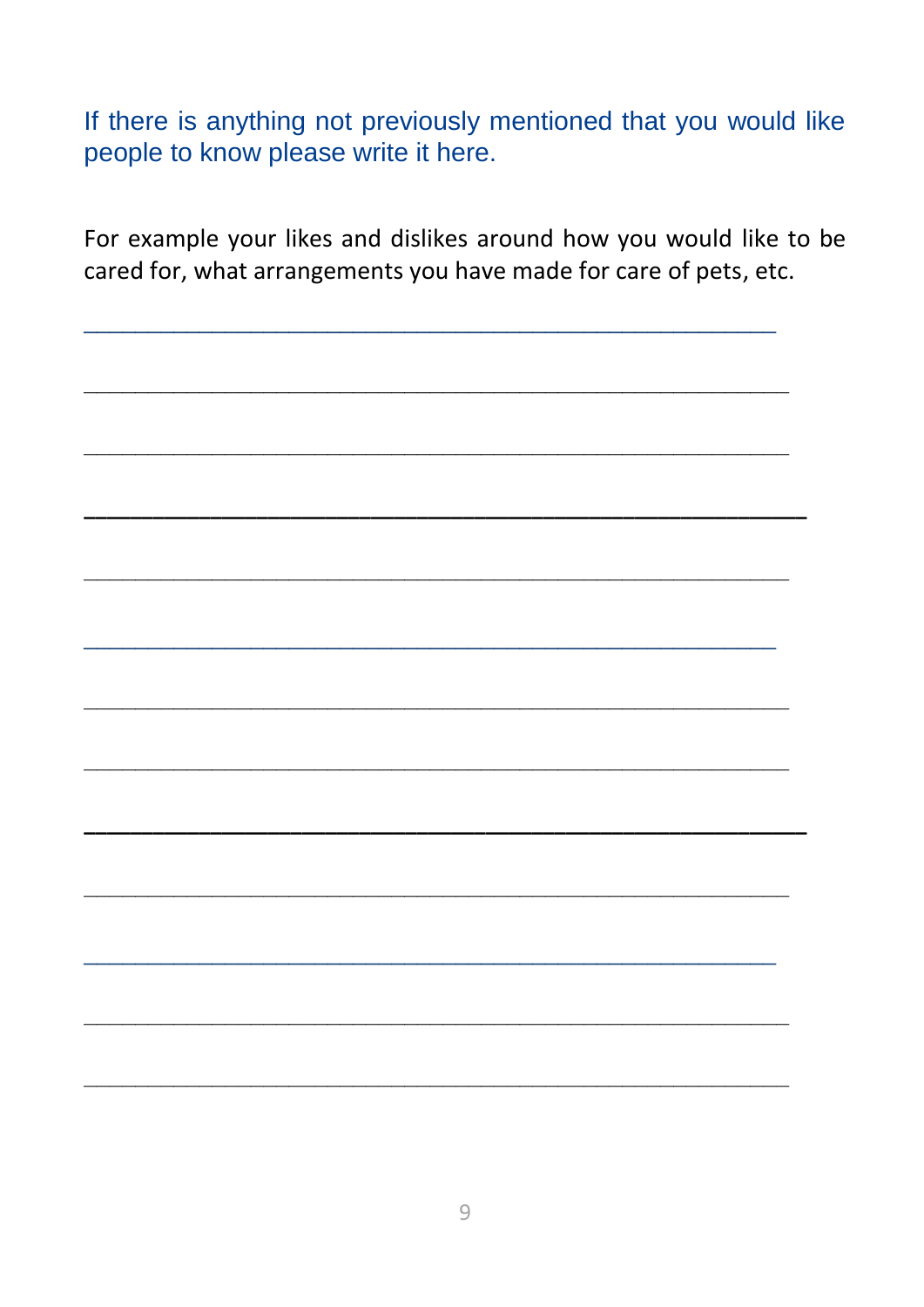If there is anything not previously mentioned that you would like people to know please write it here.

For example your likes and dislikes around how you would like to be cared for, what arrangements you have made for care of pets, etc.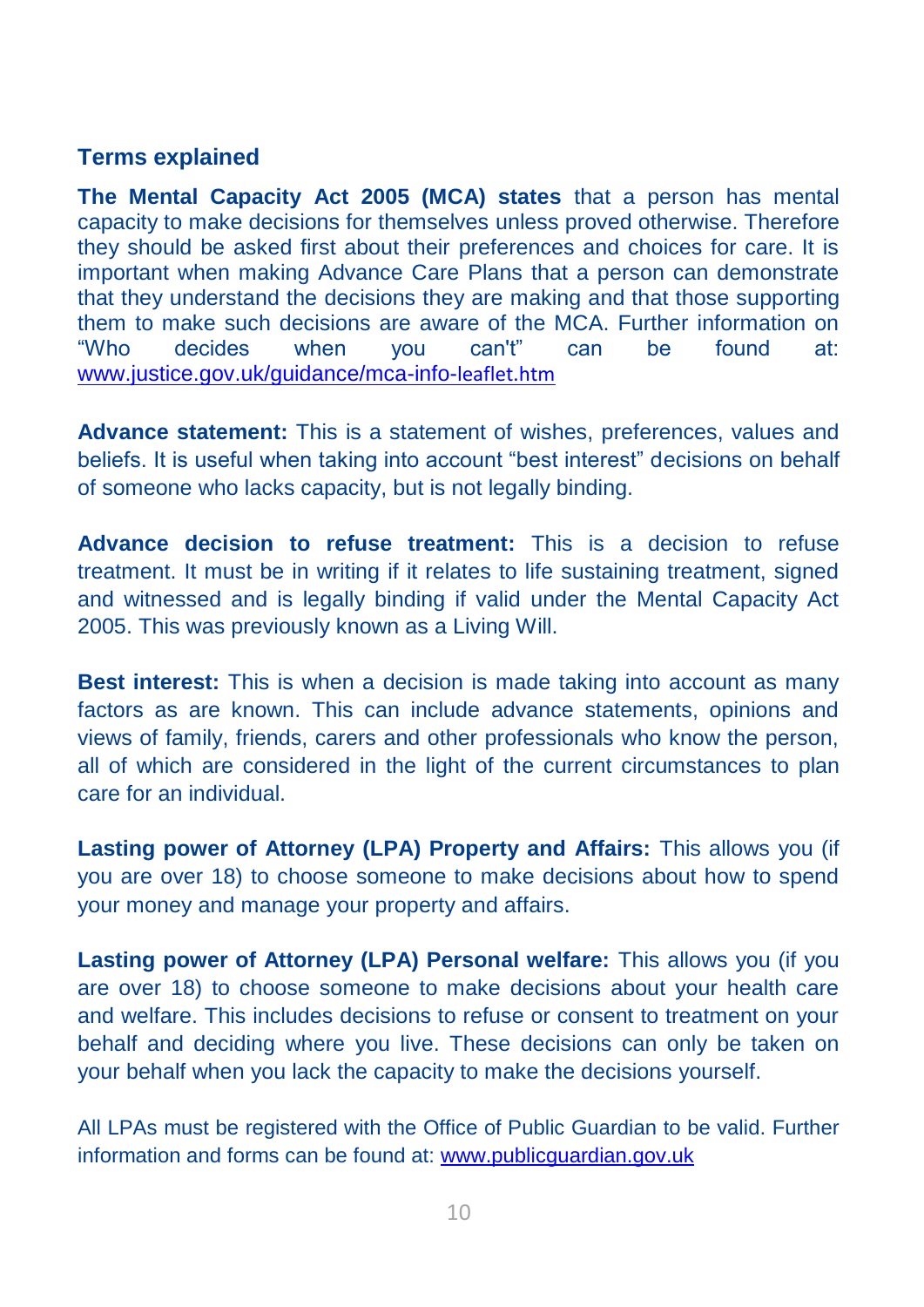#### **Terms explained**

**The Mental Capacity Act 2005 (MCA) states** that a person has mental capacity to make decisions for themselves unless proved otherwise. Therefore they should be asked first about their preferences and choices for care. It is important when making Advance Care Plans that a person can demonstrate that they understand the decisions they are making and that those supporting them to make such decisions are aware of the MCA. Further information on "Who decides when you can't" can be found at: [www.justice.gov.uk/guidance/mca-info-](http://www.justice.gov.uk/guidance/mca-info-leaflet.htm)leaflet.htm

**Advance statement:** This is a statement of wishes, preferences, values and beliefs. It is useful when taking into account "best interest" decisions on behalf of someone who lacks capacity, but is not legally binding.

**Advance decision to refuse treatment:** This is a decision to refuse treatment. It must be in writing if it relates to life sustaining treatment, signed and witnessed and is legally binding if valid under the Mental Capacity Act 2005. This was previously known as a Living Will.

**Best interest:** This is when a decision is made taking into account as many factors as are known. This can include advance statements, opinions and views of family, friends, carers and other professionals who know the person, all of which are considered in the light of the current circumstances to plan care for an individual.

**Lasting power of Attorney (LPA) Property and Affairs:** This allows you (if you are over 18) to choose someone to make decisions about how to spend your money and manage your property and affairs.

**Lasting power of Attorney (LPA) Personal welfare:** This allows you (if you are over 18) to choose someone to make decisions about your health care and welfare. This includes decisions to refuse or consent to treatment on your behalf and deciding where you live. These decisions can only be taken on your behalf when you lack the capacity to make the decisions yourself.

All LPAs must be registered with the Office of Public Guardian to be valid. Further information and forms can be found at[: www.publicguardian.gov.uk](http://www.publicguardian.gov.uk/)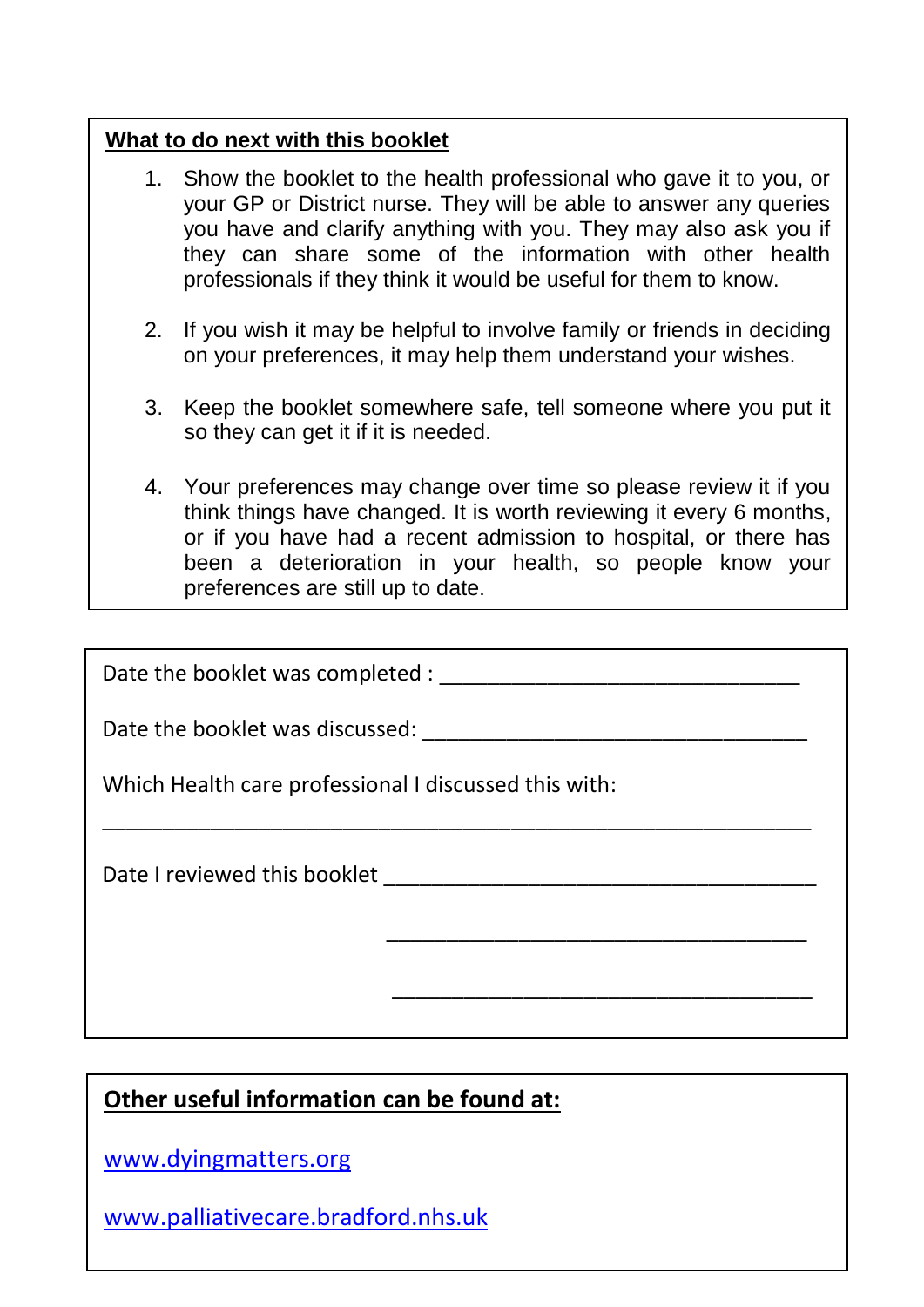#### **What to do next with this booklet**

- 1. Show the booklet to the health professional who gave it to you, or your GP or District nurse. They will be able to answer any queries you have and clarify anything with you. They may also ask you if they can share some of the information with other health professionals if they think it would be useful for them to know.
- 2. If you wish it may be helpful to involve family or friends in deciding on your preferences, it may help them understand your wishes.
- 3. Keep the booklet somewhere safe, tell someone where you put it so they can get it if it is needed.
- 4. Your preferences may change over time so please review it if you think things have changed. It is worth reviewing it every 6 months, or if you have had a recent admission to hospital, or there has been a deterioration in your health, so people know your preferences are still up to date.

\_\_\_\_\_\_\_\_\_\_\_\_\_\_\_\_\_\_\_\_\_\_\_\_\_\_\_\_\_\_\_\_\_\_\_\_\_\_\_\_\_\_\_\_\_\_\_\_\_\_\_\_\_\_\_\_\_\_\_

 $\overline{\phantom{a}}$  ,  $\overline{\phantom{a}}$  ,  $\overline{\phantom{a}}$  ,  $\overline{\phantom{a}}$  ,  $\overline{\phantom{a}}$  ,  $\overline{\phantom{a}}$  ,  $\overline{\phantom{a}}$  ,  $\overline{\phantom{a}}$  ,  $\overline{\phantom{a}}$  ,  $\overline{\phantom{a}}$  ,  $\overline{\phantom{a}}$  ,  $\overline{\phantom{a}}$  ,  $\overline{\phantom{a}}$  ,  $\overline{\phantom{a}}$  ,  $\overline{\phantom{a}}$  ,  $\overline{\phantom{a}}$ 

 $\overline{\phantom{a}}$  ,  $\overline{\phantom{a}}$  ,  $\overline{\phantom{a}}$  ,  $\overline{\phantom{a}}$  ,  $\overline{\phantom{a}}$  ,  $\overline{\phantom{a}}$  ,  $\overline{\phantom{a}}$  ,  $\overline{\phantom{a}}$  ,  $\overline{\phantom{a}}$  ,  $\overline{\phantom{a}}$  ,  $\overline{\phantom{a}}$  ,  $\overline{\phantom{a}}$  ,  $\overline{\phantom{a}}$  ,  $\overline{\phantom{a}}$  ,  $\overline{\phantom{a}}$  ,  $\overline{\phantom{a}}$ 

Date the booklet was completed : \_\_\_\_\_\_\_\_\_\_\_\_\_\_\_\_\_\_\_\_\_\_\_\_\_\_\_\_\_\_

Date the booklet was discussed: \_\_\_\_\_\_\_\_\_\_\_\_\_\_\_\_\_\_\_\_\_\_\_\_\_\_\_\_\_\_\_\_

Which Health care professional I discussed this with:

Date I reviewed this booklet **Example 20** 

#### **Other useful information can be found at:**

**With the agreement of the page can be removed and page can be removed and** [www.dyingmatters.org](http://www.dyingmatters.org/)

[www.palliativecare.bradford.nhs.uk](http://www.palliativecare.bradford.nhs.uk/)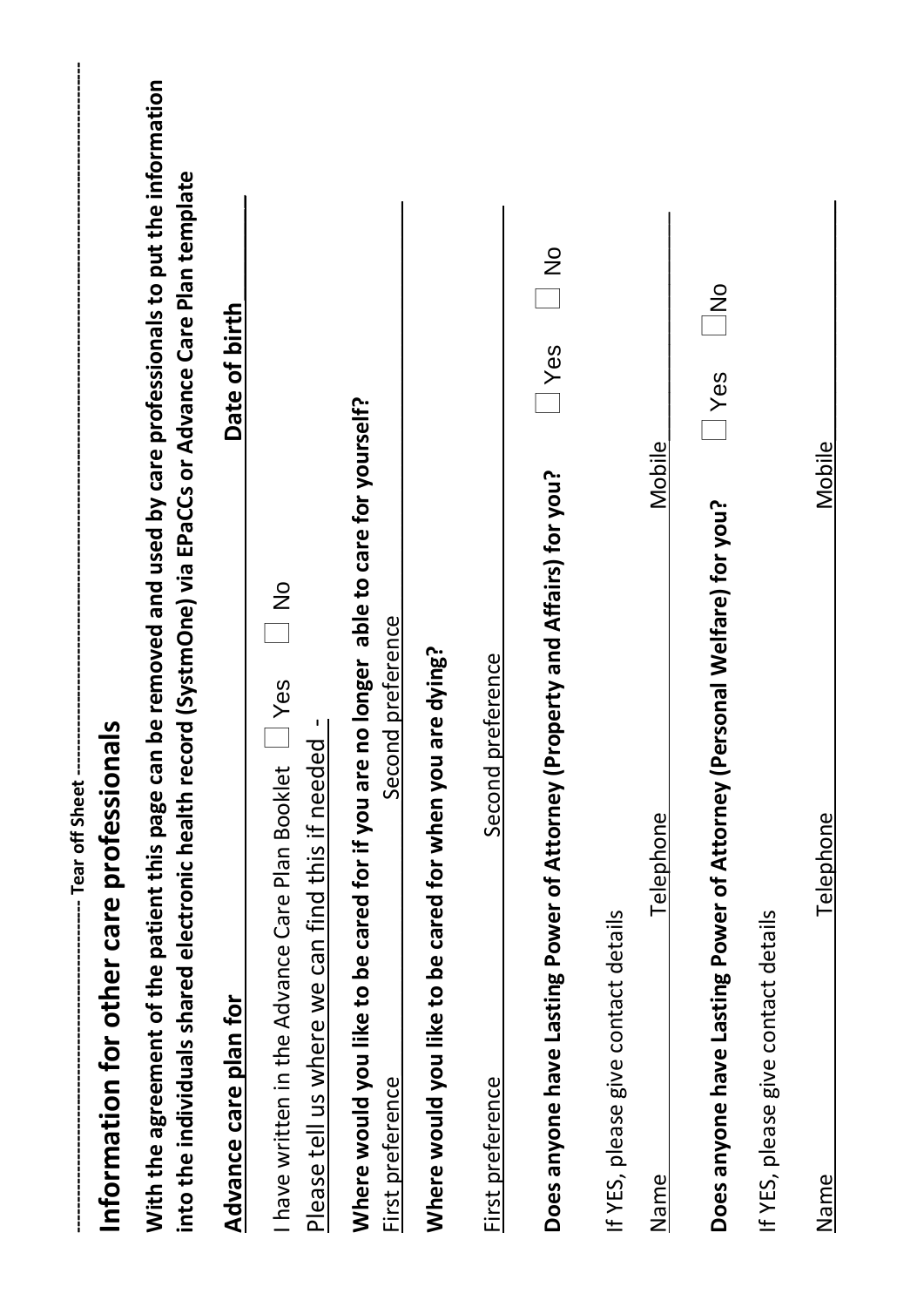|                                     | -- Tear off Sheet --                                                                                                      |                                                                                                                  |
|-------------------------------------|---------------------------------------------------------------------------------------------------------------------------|------------------------------------------------------------------------------------------------------------------|
|                                     | Information for other care professionals                                                                                  |                                                                                                                  |
|                                     | into the individuals shared electronic health record (SystmOne) via EPaCCs or Advance Care Plan template                  | With the agreement of the patient this page can be removed and used by care professionals to put the information |
| Advance care pla                    | in for                                                                                                                    | Date of birth                                                                                                    |
|                                     | $\frac{5}{1}$<br>have written in the Advance Care Plan Booklet \ Yes<br>Please tell us where we can find this if needed - |                                                                                                                  |
| Where would you<br>First preference | like to be cared for if you are no longer able to care for yourself?<br>Second preference                                 |                                                                                                                  |
| Where would you                     | like to be cared for when you are dying?                                                                                  |                                                                                                                  |
| First preference                    | Second preference                                                                                                         |                                                                                                                  |
| Does anyone have                    | Lasting Power of Attorney (Property and Affairs) for you?                                                                 | $rac{9}{1}$<br>$\frac{}{\sqrt{e}}$                                                                               |
| If YES, please give                 | contact details                                                                                                           |                                                                                                                  |
| Name                                | Telephone                                                                                                                 | Mobile                                                                                                           |
| Does anyone have                    | Lasting Power of Attorney (Personal Welfare) for you?                                                                     | $\frac{5}{5}$<br>$\frac{}{\sqrt{e}}$                                                                             |
| If YES, please give                 | contact details                                                                                                           |                                                                                                                  |
| Name                                | Telephone                                                                                                                 | Mobile                                                                                                           |